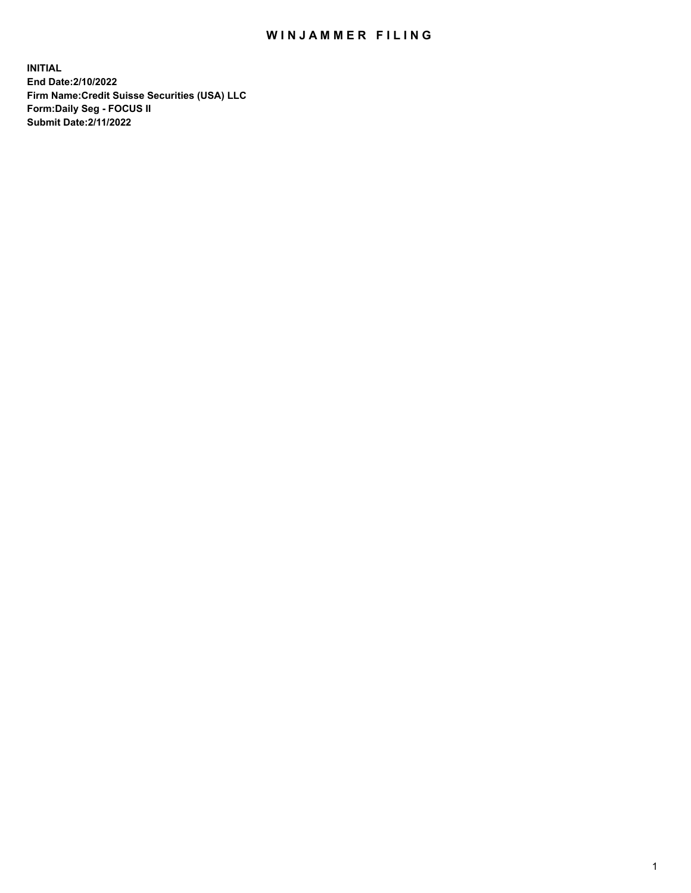## WIN JAMMER FILING

**INITIAL End Date:2/10/2022 Firm Name:Credit Suisse Securities (USA) LLC Form:Daily Seg - FOCUS II Submit Date:2/11/2022**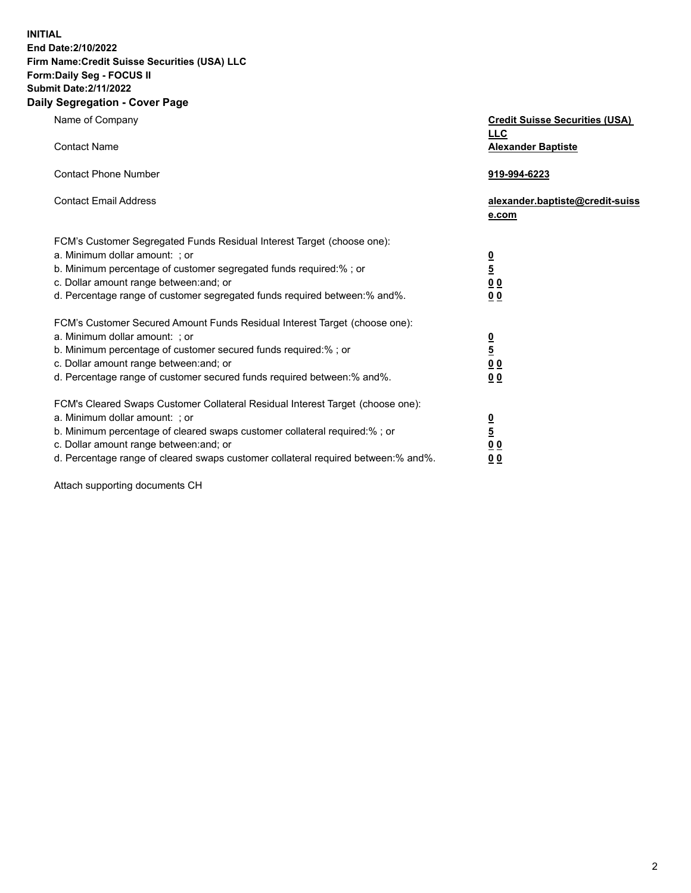**INITIAL End Date:2/10/2022** 

## **Firm Name:Credit Suisse Securities (USA) LLC Form:Daily Seg - FOCUS II Submit Date:2/11/2022**

## **Daily Segregation - Cover Page**

| Name of Company<br><b>Contact Name</b>                                                                                                                                                                                                                                                                                         | <b>Credit Suisse Securities (USA)</b><br><b>LLC</b><br><b>Alexander Baptiste</b> |
|--------------------------------------------------------------------------------------------------------------------------------------------------------------------------------------------------------------------------------------------------------------------------------------------------------------------------------|----------------------------------------------------------------------------------|
| <b>Contact Phone Number</b>                                                                                                                                                                                                                                                                                                    | 919-994-6223                                                                     |
| <b>Contact Email Address</b>                                                                                                                                                                                                                                                                                                   | alexander.baptiste@credit-suiss<br>e.com                                         |
| FCM's Customer Segregated Funds Residual Interest Target (choose one):<br>a. Minimum dollar amount: ; or<br>b. Minimum percentage of customer segregated funds required:%; or<br>c. Dollar amount range between: and; or<br>d. Percentage range of customer segregated funds required between: % and %.                        | $\frac{0}{5}$<br>0 <sub>0</sub><br>00                                            |
| FCM's Customer Secured Amount Funds Residual Interest Target (choose one):<br>a. Minimum dollar amount: ; or<br>b. Minimum percentage of customer secured funds required:%; or<br>c. Dollar amount range between: and; or<br>d. Percentage range of customer secured funds required between:% and%.                            | $\frac{0}{5}$<br>$\underline{0}$ $\underline{0}$<br>0 <sub>0</sub>               |
| FCM's Cleared Swaps Customer Collateral Residual Interest Target (choose one):<br>a. Minimum dollar amount: ; or<br>b. Minimum percentage of cleared swaps customer collateral required:% ; or<br>c. Dollar amount range between: and; or<br>d. Percentage range of cleared swaps customer collateral required between:% and%. | $\frac{0}{5}$<br>0 <sub>0</sub><br>0 <sub>0</sub>                                |

Attach supporting documents CH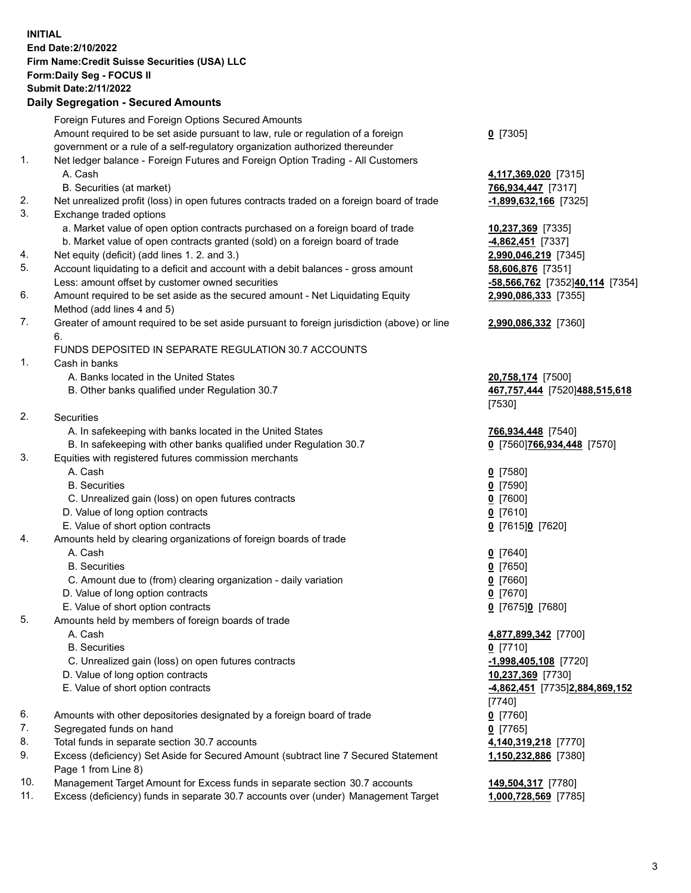**INITIAL End Date:2/10/2022 Firm Name:Credit Suisse Securities (USA) LLC Form:Daily Seg - FOCUS II Submit Date:2/11/2022** 

## **Daily Segregation - Secured Amounts**

|     | Foreign Futures and Foreign Options Secured Amounts                                         |                                 |
|-----|---------------------------------------------------------------------------------------------|---------------------------------|
|     | Amount required to be set aside pursuant to law, rule or regulation of a foreign            | $0$ [7305]                      |
|     | government or a rule of a self-regulatory organization authorized thereunder                |                                 |
| 1.  | Net ledger balance - Foreign Futures and Foreign Option Trading - All Customers             |                                 |
|     | A. Cash                                                                                     | 4,117,369,020 [7315]            |
|     | B. Securities (at market)                                                                   | 766,934,447 [7317]              |
| 2.  | Net unrealized profit (loss) in open futures contracts traded on a foreign board of trade   | $-1,899,632,166$ [7325]         |
| 3.  | Exchange traded options                                                                     |                                 |
|     | a. Market value of open option contracts purchased on a foreign board of trade              | 10,237,369 [7335]               |
|     | b. Market value of open contracts granted (sold) on a foreign board of trade                | 4,862,451 [7337]                |
| 4.  | Net equity (deficit) (add lines 1. 2. and 3.)                                               | 2,990,046,219 [7345]            |
| 5.  | Account liquidating to a deficit and account with a debit balances - gross amount           | 58,606,876 [7351]               |
|     | Less: amount offset by customer owned securities                                            | -58,566,762 [7352]40,114 [7354] |
| 6.  | Amount required to be set aside as the secured amount - Net Liquidating Equity              | 2,990,086,333 [7355]            |
|     | Method (add lines 4 and 5)                                                                  |                                 |
| 7.  | Greater of amount required to be set aside pursuant to foreign jurisdiction (above) or line | 2,990,086,332 [7360]            |
|     | 6.                                                                                          |                                 |
|     | FUNDS DEPOSITED IN SEPARATE REGULATION 30.7 ACCOUNTS                                        |                                 |
| 1.  | Cash in banks                                                                               |                                 |
|     | A. Banks located in the United States                                                       | 20,758,174 [7500]               |
|     | B. Other banks qualified under Regulation 30.7                                              | 467,757,444 [7520]488,515,618   |
|     |                                                                                             | [7530]                          |
| 2.  | Securities                                                                                  |                                 |
|     | A. In safekeeping with banks located in the United States                                   | 766,934,448 [7540]              |
|     | B. In safekeeping with other banks qualified under Regulation 30.7                          | 0 [7560] 766, 934, 448 [7570]   |
| 3.  | Equities with registered futures commission merchants                                       |                                 |
|     | A. Cash                                                                                     | $0$ [7580]                      |
|     | <b>B.</b> Securities                                                                        | $0$ [7590]                      |
|     | C. Unrealized gain (loss) on open futures contracts                                         | $0$ [7600]                      |
|     | D. Value of long option contracts                                                           | $0$ [7610]                      |
|     | E. Value of short option contracts                                                          | 0 [7615]0 [7620]                |
| 4.  | Amounts held by clearing organizations of foreign boards of trade                           |                                 |
|     | A. Cash                                                                                     | $0$ [7640]                      |
|     | <b>B.</b> Securities                                                                        | $0$ [7650]                      |
|     | C. Amount due to (from) clearing organization - daily variation                             | $0$ [7660]                      |
|     | D. Value of long option contracts                                                           | $0$ [7670]                      |
|     | E. Value of short option contracts                                                          | $0$ [7675] $0$ [7680]           |
| 5.  | Amounts held by members of foreign boards of trade                                          |                                 |
|     | A. Cash                                                                                     | 4,877,899,342 [7700]            |
|     | <b>B.</b> Securities                                                                        | $0$ [7710]                      |
|     | C. Unrealized gain (loss) on open futures contracts                                         | $-1,998,405,108$ [7720]         |
|     | D. Value of long option contracts                                                           | 10,237,369 [7730]               |
|     | E. Value of short option contracts                                                          | 4,862,451 [7735]2,884,869,152   |
|     |                                                                                             | [7740]                          |
| 6.  | Amounts with other depositories designated by a foreign board of trade                      | $0$ [7760]                      |
| 7.  | Segregated funds on hand                                                                    | $0$ [7765]                      |
| 8.  | Total funds in separate section 30.7 accounts                                               | 4,140,319,218 [7770]            |
| 9.  | Excess (deficiency) Set Aside for Secured Amount (subtract line 7 Secured Statement         | 1,150,232,886 [7380]            |
|     | Page 1 from Line 8)                                                                         |                                 |
| 10. | Management Target Amount for Excess funds in separate section 30.7 accounts                 | 149,504,317 [7780]              |
| 11. | Excess (deficiency) funds in separate 30.7 accounts over (under) Management Target          | 1,000,728,569 [7785]            |
|     |                                                                                             |                                 |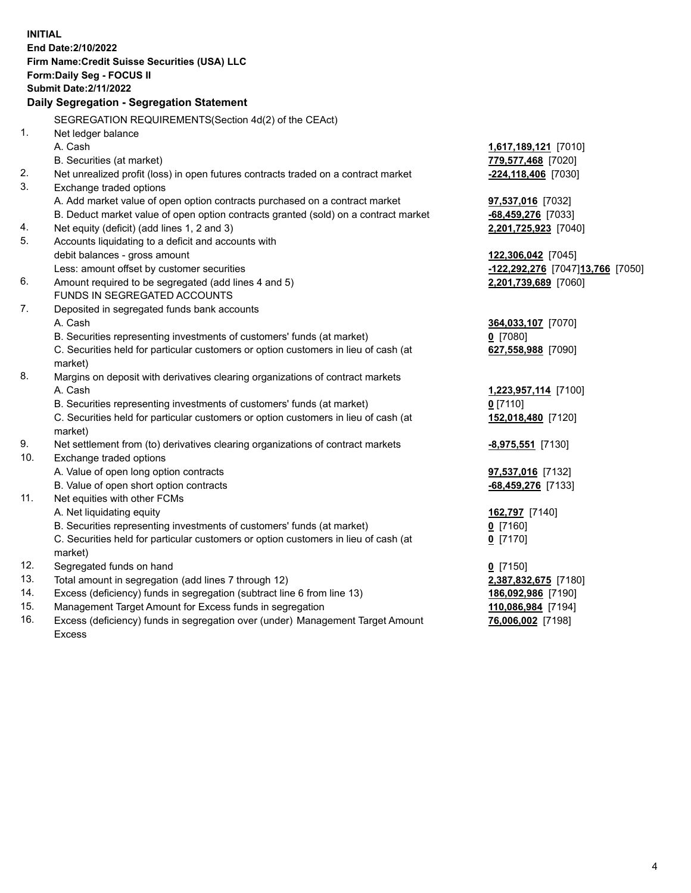15. Management Target Amount for Excess funds in segregation **110,086,984** [7194] 16. Excess (deficiency) funds in segregation over (under) Management Target Amount **76,006,002** [7198] **INITIAL End Date:2/10/2022 Firm Name:Credit Suisse Securities (USA) LLC Form:Daily Seg - FOCUS II Submit Date:2/11/2022 Daily Segregation - Segregation Statement**  SEGREGATION REQUIREMENTS(Section 4d(2) of the CEAct) 1. Net ledger balance A. Cash **1,617,189,121** [7010] B. Securities (at market) **779,577,468** [7020] 2. Net unrealized profit (loss) in open futures contracts traded on a contract market **-224,118,406** [7030] 3. Exchange traded options A. Add market value of open option contracts purchased on a contract market **97,537,016** [7032] B. Deduct market value of open option contracts granted (sold) on a contract market **-68,459,276** [7033] 4. Net equity (deficit) (add lines 1, 2 and 3) **2,201,725,923** [7040] 5. Accounts liquidating to a deficit and accounts with debit balances - gross amount **122,306,042** [7045] Less: amount offset by customer securities **-122,292,276** [7047] **13,766** [7050] 6. Amount required to be segregated (add lines 4 and 5) **2,201,739,689** [7060] FUNDS IN SEGREGATED ACCOUNTS 7. Deposited in segregated funds bank accounts A. Cash **364,033,107** [7070] B. Securities representing investments of customers' funds (at market) **0** [7080] C. Securities held for particular customers or option customers in lieu of cash (at **627,558,988** [7090] market) 8. Margins on deposit with derivatives clearing organizations of contract markets A. Cash **1,223,957,114** [7100] B. Securities representing investments of customers' funds (at market) **0** [7110] C. Securities held for particular customers or option customers in lieu of cash (at **152,018,480** [7120] market) 9. Net settlement from (to) derivatives clearing organizations of contract markets **-8,975,551** [7130] 10. Exchange traded options A. Value of open long option contracts **97,537,016** [7132] B. Value of open short option contracts **-68,459,276** [7133] 11. Net equities with other FCMs A. Net liquidating equity **162,797** [7140] B. Securities representing investments of customers' funds (at market) **0** [7160] C. Securities held for particular customers or option customers in lieu of cash (at **0** [7170] market) 12. Segregated funds on hand **0** [7150] 13. Total amount in segregation (add lines 7 through 12) **2,387,832,675** [7180] 14. Excess (deficiency) funds in segregation (subtract line 6 from line 13) **186,092,986** [7190]

Excess